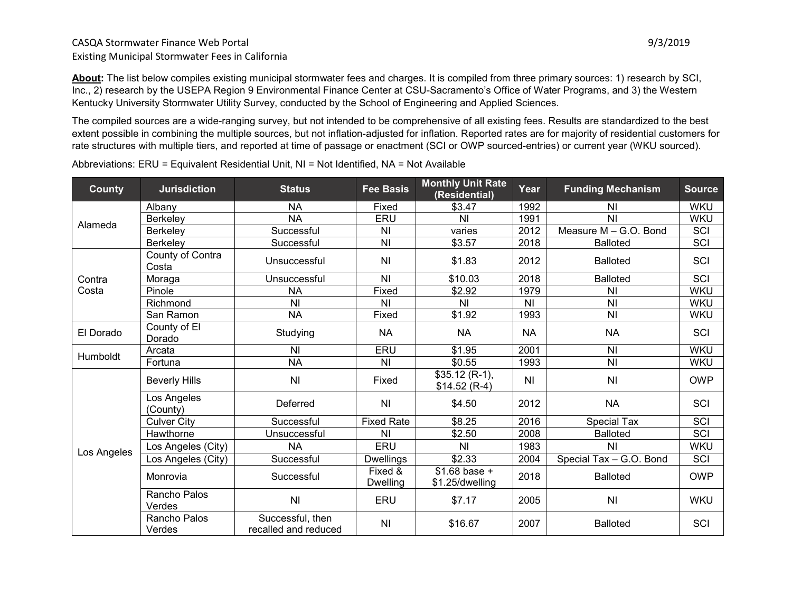### CASQA Stormwater Finance Web Portal 9/3/2019 Existing Municipal Stormwater Fees in California

**About:** The list below compiles existing municipal stormwater fees and charges. It is compiled from three primary sources: 1) research by SCI, Inc., 2) research by the USEPA Region 9 Environmental Finance Center at CSU-Sacramento's Office of Water Programs, and 3) the Western Kentucky University Stormwater Utility Survey, conducted by the School of Engineering and Applied Sciences.

The compiled sources are a wide-ranging survey, but not intended to be comprehensive of all existing fees. Results are standardized to the best extent possible in combining the multiple sources, but not inflation-adjusted for inflation. Reported rates are for majority of residential customers for rate structures with multiple tiers, and reported at time of passage or enactment (SCI or OWP sourced-entries) or current year (WKU sourced).

| <b>County</b> | <b>Jurisdiction</b>       | <b>Status</b>                            | <b>Fee Basis</b>           | <b>Monthly Unit Rate</b><br>(Residential) | Year           | <b>Funding Mechanism</b> | <b>Source</b> |
|---------------|---------------------------|------------------------------------------|----------------------------|-------------------------------------------|----------------|--------------------------|---------------|
| Alameda       | Albany                    | <b>NA</b>                                | Fixed                      | \$3.47                                    | 1992           | ΝI                       | <b>WKU</b>    |
|               | Berkeley                  | <b>NA</b>                                | ERU                        | N <sub>l</sub>                            | 1991           | N <sub>1</sub>           | <b>WKU</b>    |
|               | Berkeley                  | Successful                               | N <sub>l</sub>             | varies                                    | 2012           | Measure M - G.O. Bond    | SCI           |
|               | Berkeley                  | Successful                               | N <sub>l</sub>             | \$3.57                                    | 2018           | <b>Balloted</b>          | SCI           |
|               | County of Contra<br>Costa | Unsuccessful                             | <b>NI</b>                  | \$1.83                                    | 2012           | <b>Balloted</b>          | SCI           |
| Contra        | Moraga                    | Unsuccessful                             | N <sub>1</sub>             | \$10.03                                   | 2018           | <b>Balloted</b>          | SCI           |
| Costa         | Pinole                    | <b>NA</b>                                | Fixed                      | \$2.92                                    | 1979           | N <sub>l</sub>           | <b>WKU</b>    |
|               | Richmond                  | N <sub>l</sub>                           | N <sub>1</sub>             | N <sub>1</sub>                            | N <sub>1</sub> | N <sub>l</sub>           | <b>WKU</b>    |
|               | San Ramon                 | <b>NA</b>                                | Fixed                      | \$1.92                                    | 1993           | N <sub>1</sub>           | <b>WKU</b>    |
| El Dorado     | County of El<br>Dorado    | Studying                                 | <b>NA</b>                  | <b>NA</b>                                 | <b>NA</b>      | <b>NA</b>                | SCI           |
|               | Arcata                    | <b>NI</b>                                | ERU                        | \$1.95                                    | 2001           | N <sub>l</sub>           | <b>WKU</b>    |
| Humboldt      | Fortuna                   | <b>NA</b>                                | <b>NI</b>                  | \$0.55                                    | 1993           | N <sub>l</sub>           | <b>WKU</b>    |
|               | <b>Beverly Hills</b>      | N <sub>l</sub>                           | Fixed                      | $$35.12 (R-1),$<br>$$14.52 (R-4)$         | N <sub>1</sub> | N <sub>l</sub>           | <b>OWP</b>    |
|               | Los Angeles<br>(County)   | Deferred                                 | <b>NI</b>                  | \$4.50                                    | 2012           | <b>NA</b>                | SCI           |
|               | <b>Culver City</b>        | Successful                               | <b>Fixed Rate</b>          | \$8.25                                    | 2016           | <b>Special Tax</b>       | <b>SCI</b>    |
| Los Angeles   | Hawthorne                 | Unsuccessful                             | N <sub>1</sub>             | \$2.50                                    | 2008           | <b>Balloted</b>          | SCI           |
|               | Los Angeles (City)        | <b>NA</b>                                | ERU                        | N <sub>l</sub>                            | 1983           | N <sub>l</sub>           | <b>WKU</b>    |
|               | Los Angeles (City)        | Successful                               | <b>Dwellings</b>           | \$2.33                                    | 2004           | Special Tax - G.O. Bond  | SCI           |
|               | Monrovia                  | Successful                               | Fixed &<br><b>Dwelling</b> | $$1.68$ base +<br>\$1.25/dwelling         | 2018           | <b>Balloted</b>          | <b>OWP</b>    |
|               | Rancho Palos<br>Verdes    | N <sub>l</sub>                           | ERU                        | \$7.17                                    | 2005           | N <sub>1</sub>           | <b>WKU</b>    |
|               | Rancho Palos<br>Verdes    | Successful, then<br>recalled and reduced | N <sub>1</sub>             | \$16.67                                   | 2007           | <b>Balloted</b>          | SCI           |

Abbreviations: ERU = Equivalent Residential Unit, NI = Not Identified, NA = Not Available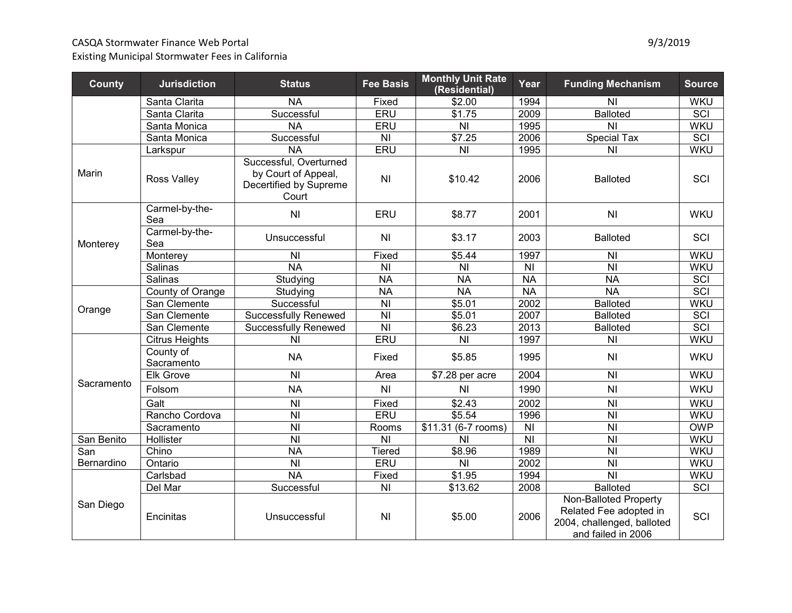# CASQA Stormwater Finance Web Portal 600 and 100 and 100 and 100 and 100 and 100 and 100 and 100 and 100 and 100 and 100 and 100 and 100 and 100 and 100 and 100 and 100 and 100 and 100 and 100 and 100 and 100 and 100 and 10

| <b>County</b> | <b>Jurisdiction</b>     | <b>Status</b>                                                                    | <b>Fee Basis</b>                             | <b>Monthly Unit Rate</b><br>(Residential)               | Year                               | <b>Funding Mechanism</b>                                                                            | <b>Source</b> |
|---------------|-------------------------|----------------------------------------------------------------------------------|----------------------------------------------|---------------------------------------------------------|------------------------------------|-----------------------------------------------------------------------------------------------------|---------------|
|               | Santa Clarita           | <b>NA</b>                                                                        | Fixed                                        | \$2.00                                                  | 1994                               | <b>NI</b>                                                                                           | <b>WKU</b>    |
|               | Santa Clarita           | Successful                                                                       | ERU                                          | \$1.75                                                  | 2009                               | <b>Balloted</b>                                                                                     | SCI           |
|               | Santa Monica            | <b>NA</b>                                                                        | ERU                                          | N <sub>l</sub>                                          | 1995                               | <b>NI</b>                                                                                           | <b>WKU</b>    |
|               | Santa Monica            | Successful                                                                       | N <sub>l</sub>                               | \$7.25                                                  | 2006                               | <b>Special Tax</b>                                                                                  | SCI           |
|               | Larkspur                | <b>NA</b>                                                                        | ERU                                          | N <sub>l</sub>                                          | 1995                               | <b>NI</b>                                                                                           | <b>WKU</b>    |
| Marin         | <b>Ross Valley</b>      | Successful, Overturned<br>by Court of Appeal,<br>Decertified by Supreme<br>Court | N <sub>l</sub>                               | \$10.42                                                 | 2006                               | <b>Balloted</b>                                                                                     | SCI           |
|               | Carmel-by-the-<br>Sea   | N <sub>l</sub>                                                                   | ERU                                          | \$8.77                                                  | 2001                               | <b>NI</b>                                                                                           | <b>WKU</b>    |
| Monterey      | Carmel-by-the-<br>Sea   | Unsuccessful                                                                     | N <sub>l</sub>                               | \$3.17                                                  | 2003                               | <b>Balloted</b>                                                                                     | SCI           |
|               | Monterey                | $\overline{N}$                                                                   | Fixed                                        | \$5.44                                                  | 1997                               | N <sub>l</sub>                                                                                      | <b>WKU</b>    |
|               | Salinas                 | $\overline{NA}$                                                                  | $\overline{\overline{N}}$                    | $\overline{\overline{\mathsf{N}}\overline{\mathsf{N}}}$ | <b>NI</b>                          | $\overline{\overline{\mathsf{N}}}$                                                                  | <b>WKU</b>    |
|               | Salinas                 | Studying                                                                         | <b>NA</b>                                    | <b>NA</b>                                               | <b>NA</b>                          | <b>NA</b>                                                                                           | SCI           |
|               | County of Orange        | Studying                                                                         | <b>NA</b>                                    | <b>NA</b>                                               | <b>NA</b>                          | N <sub>A</sub>                                                                                      | SCI           |
| Orange        | San Clemente            | Successful                                                                       | $\overline{\overline{N}}$                    | \$5.01                                                  | 2002                               | <b>Balloted</b>                                                                                     | <b>WKU</b>    |
|               | San Clemente            | <b>Successfully Renewed</b>                                                      | $\overline{\overline{N}}$                    | \$5.01                                                  | 2007                               | <b>Balloted</b>                                                                                     | <b>SCI</b>    |
|               | San Clemente            | <b>Successfully Renewed</b>                                                      | $\overline{\overline{N}}$                    | \$6.23                                                  | 2013                               | <b>Balloted</b>                                                                                     | <b>SCI</b>    |
|               | <b>Citrus Heights</b>   | N <sub>1</sub>                                                                   | <b>ERU</b>                                   | N <sub>l</sub>                                          | 1997                               | N <sub>l</sub>                                                                                      | <b>WKU</b>    |
|               | County of<br>Sacramento | <b>NA</b>                                                                        | Fixed                                        | \$5.85                                                  | 1995                               | <b>NI</b>                                                                                           | <b>WKU</b>    |
|               | <b>Elk Grove</b>        | <b>NI</b>                                                                        | Area                                         | \$7.28 per acre                                         | 2004                               | N <sub>l</sub>                                                                                      | <b>WKU</b>    |
| Sacramento    | Folsom                  | <b>NA</b>                                                                        | N <sub>l</sub>                               | N <sub>1</sub>                                          | 1990                               | N <sub>1</sub>                                                                                      | <b>WKU</b>    |
|               | Galt                    | $\overline{N}$                                                                   | Fixed                                        | \$2.43                                                  | 2002                               | $\overline{N}$                                                                                      | <b>WKU</b>    |
|               | Rancho Cordova          | N <sub>l</sub>                                                                   | <b>ERU</b>                                   | \$5.54                                                  | 1996                               | $\overline{\overline{N}}$                                                                           | <b>WKU</b>    |
|               | Sacramento              | N <sub>l</sub>                                                                   | Rooms                                        | \$11.31 (6-7 rooms)                                     | <b>NI</b>                          | <b>NI</b>                                                                                           | <b>OWP</b>    |
| San Benito    | Hollister               | $\overline{N}$                                                                   | $\overline{\overline{\mathsf{N}}\mathsf{I}}$ | <b>NI</b>                                               | $\overline{\overline{\mathsf{N}}}$ | $\overline{\overline{N}}$                                                                           | <b>WKU</b>    |
| San           | Chino                   | <b>NA</b>                                                                        | Tiered                                       | \$8.96                                                  | 1989                               | N <sub>l</sub>                                                                                      | <b>WKU</b>    |
| Bernardino    | Ontario                 | $\overline{N}$                                                                   | <b>ERU</b>                                   | $\overline{\overline{\mathsf{N}}\overline{\mathsf{N}}}$ | 2002                               | $\overline{N}$                                                                                      | <b>WKU</b>    |
| San Diego     | Carlsbad                | <b>NA</b>                                                                        | Fixed                                        | $\overline{$}1.95$                                      | 1994                               | $\overline{N}$                                                                                      | <b>WKU</b>    |
|               | Del Mar                 | Successful                                                                       | N <sub>l</sub>                               | \$13.62                                                 | 2008                               | <b>Balloted</b>                                                                                     | <b>SCI</b>    |
|               | Encinitas               | Unsuccessful                                                                     | N <sub>l</sub>                               | \$5.00                                                  | 2006                               | Non-Balloted Property<br>Related Fee adopted in<br>2004, challenged, balloted<br>and failed in 2006 | SCI           |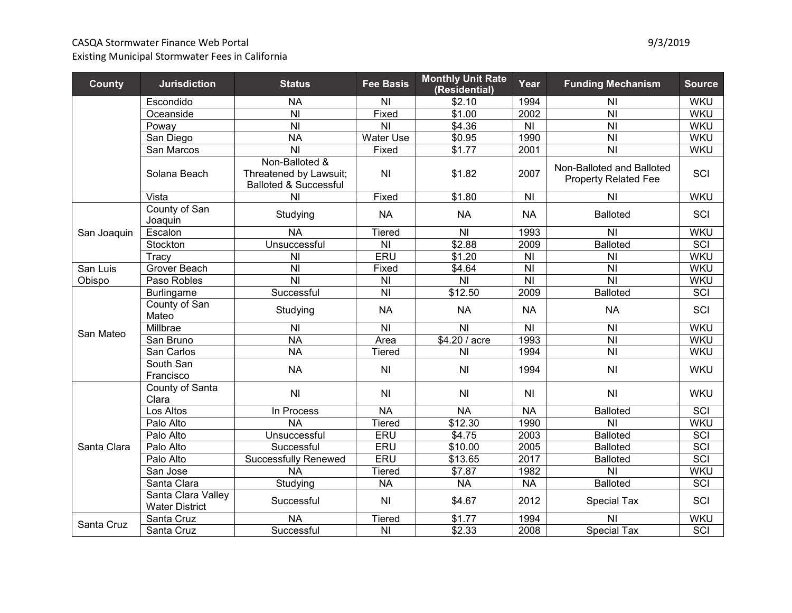# CASQA Stormwater Finance Web Portal 600 and 100 and 100 and 100 and 100 and 100 and 100 and 100 and 100 and 100 and 100 and 100 and 100 and 100 and 100 and 100 and 100 and 100 and 100 and 100 and 100 and 100 and 100 and 10

Existing Municipal Stormwater Fees in California

| <b>County</b> | <b>Jurisdiction</b>                         | <b>Status</b>                                                                | <b>Fee Basis</b> | <b>Monthly Unit Rate</b><br>(Residential) | Year           | <b>Funding Mechanism</b>                                 | <b>Source</b>    |
|---------------|---------------------------------------------|------------------------------------------------------------------------------|------------------|-------------------------------------------|----------------|----------------------------------------------------------|------------------|
|               | Escondido                                   | <b>NA</b>                                                                    | N <sub>l</sub>   | \$2.10                                    | 1994           | N <sub>1</sub>                                           | <b>WKU</b>       |
|               | Oceanside                                   | N <sub>l</sub>                                                               | Fixed            | \$1.00                                    | 2002           | <b>NI</b>                                                | <b>WKU</b>       |
|               | Poway                                       | N <sub>l</sub>                                                               | <b>NI</b>        | \$4.36                                    | N <sub>l</sub> | N <sub>l</sub>                                           | <b>WKU</b>       |
|               | San Diego                                   | <b>NA</b>                                                                    | Water Use        | \$0.95                                    | 1990           | N <sub>l</sub>                                           | <b>WKU</b>       |
|               | San Marcos                                  | N <sub>l</sub>                                                               | Fixed            | \$1.77                                    | 2001           | N <sub>l</sub>                                           | <b>WKU</b>       |
|               | Solana Beach                                | Non-Balloted &<br>Threatened by Lawsuit;<br><b>Balloted &amp; Successful</b> | <b>NI</b>        | \$1.82                                    | 2007           | Non-Balloted and Balloted<br><b>Property Related Fee</b> | SCI              |
|               | Vista                                       | N <sub>l</sub>                                                               | Fixed            | \$1.80                                    | N <sub>l</sub> | N <sub>l</sub>                                           | <b>WKU</b>       |
|               | County of San<br>Joaquin                    | Studying                                                                     | <b>NA</b>        | <b>NA</b>                                 | <b>NA</b>      | <b>Balloted</b>                                          | SCI              |
| San Joaquin   | Escalon                                     | <b>NA</b>                                                                    | <b>Tiered</b>    | N <sub>l</sub>                            | 1993           | N <sub>l</sub>                                           | <b>WKU</b>       |
|               | Stockton                                    | Unsuccessful                                                                 | N <sub>l</sub>   | \$2.88                                    | 2009           | <b>Balloted</b>                                          | SCI              |
|               | Tracy                                       | N <sub>l</sub>                                                               | ERU              | \$1.20                                    | N <sub>l</sub> | N <sub>1</sub>                                           | <b>WKU</b>       |
| San Luis      | Grover Beach                                | N <sub>l</sub>                                                               | Fixed            | \$4.64                                    | N <sub>l</sub> | N <sub>l</sub>                                           | <b>WKU</b>       |
| Obispo        | Paso Robles                                 | N <sub>l</sub>                                                               | N <sub>l</sub>   | N <sub>l</sub>                            | N <sub>l</sub> | N <sub>l</sub>                                           | <b>WKU</b>       |
|               | <b>Burlingame</b>                           | Successful                                                                   | N <sub>l</sub>   | \$12.50                                   | 2009           | <b>Balloted</b>                                          | SCI              |
| San Mateo     | County of San<br>Mateo                      | Studying                                                                     | <b>NA</b>        | <b>NA</b>                                 | <b>NA</b>      | <b>NA</b>                                                | SCI              |
|               | Millbrae                                    | N <sub>l</sub>                                                               | N <sub>l</sub>   | N <sub>l</sub>                            | N <sub>l</sub> | N <sub>l</sub>                                           | <b>WKU</b>       |
|               | San Bruno                                   | <b>NA</b>                                                                    | Area             | \$4.20 / acre                             | 1993           | $\overline{N}$                                           | <b>WKU</b>       |
|               | San Carlos                                  | <b>NA</b>                                                                    | <b>Tiered</b>    | <b>NI</b>                                 | 1994           | $\overline{\overline{N}}$                                | <b>WKU</b>       |
|               | South San<br>Francisco                      | <b>NA</b>                                                                    | N <sub>l</sub>   | N <sub>l</sub>                            | 1994           | N <sub>l</sub>                                           | <b>WKU</b>       |
|               | County of Santa<br>Clara                    | N <sub>l</sub>                                                               | N <sub>l</sub>   | N <sub>l</sub>                            | N <sub>l</sub> | N <sub>l</sub>                                           | <b>WKU</b>       |
|               | Los Altos                                   | In Process                                                                   | <b>NA</b>        | <b>NA</b>                                 | <b>NA</b>      | <b>Balloted</b>                                          | SCI              |
|               | Palo Alto                                   | <b>NA</b>                                                                    | <b>Tiered</b>    | \$12.30                                   | 1990           | <b>NI</b>                                                | <b>WKU</b>       |
|               | Palo Alto                                   | Unsuccessful                                                                 | ERU              | \$4.75                                    | 2003           | <b>Balloted</b>                                          | <b>SCI</b>       |
| Santa Clara   | Palo Alto                                   | Successful                                                                   | ERU              | \$10.00                                   | 2005           | <b>Balloted</b>                                          | <b>SCI</b>       |
|               | Palo Alto                                   | <b>Successfully Renewed</b>                                                  | ERU              | \$13.65                                   | 2017           | <b>Balloted</b>                                          | <b>SCI</b>       |
|               | San Jose                                    | <b>NA</b>                                                                    | <b>Tiered</b>    | \$7.87                                    | 1982           | N <sub>l</sub>                                           | WKU              |
|               | Santa Clara                                 | Studying                                                                     | <b>NA</b>        | <b>NA</b>                                 | <b>NA</b>      | <b>Balloted</b>                                          | SCI              |
|               | Santa Clara Valley<br><b>Water District</b> | Successful                                                                   | N <sub>l</sub>   | \$4.67                                    | 2012           | <b>Special Tax</b>                                       | SCI              |
|               | Santa Cruz                                  | <b>NA</b>                                                                    | <b>Tiered</b>    | \$1.77                                    | 1994           | N <sub>l</sub>                                           | <b>WKU</b>       |
| Santa Cruz    | Santa Cruz                                  | Successful                                                                   | N <sub>l</sub>   | $\sqrt{$2.33}$                            | 2008           | <b>Special Tax</b>                                       | $\overline{SCI}$ |